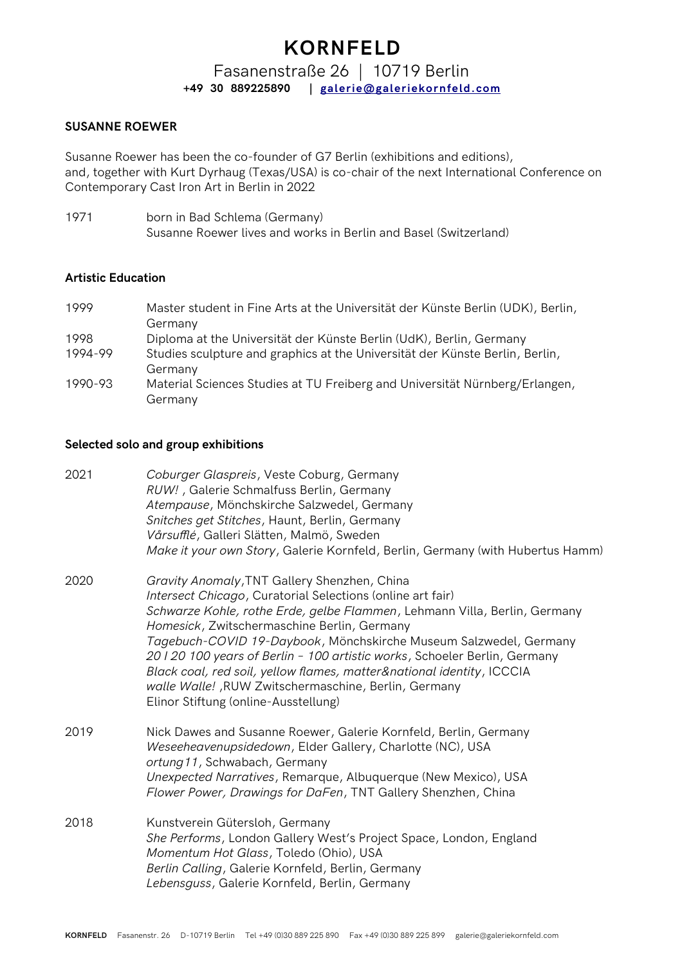Fasanenstraße 26 | 10719 Berlin **+49 30 889225890 | [galerie@galeriekornfeld.com](mailto:galerie@galeriekornfeld.com)**

### **SUSANNE ROEWER**

Susanne Roewer has been the co-founder of G7 Berlin (exhibitions and editions), and, together with Kurt Dyrhaug (Texas/USA) is co-chair of the next International Conference on Contemporary Cast Iron Art in Berlin in 2022

1971 born in Bad Schlema (Germany) Susanne Roewer lives and works in Berlin and Basel (Switzerland)

#### **Artistic Education**

| 1999    | Master student in Fine Arts at the Universität der Künste Berlin (UDK), Berlin,<br>Germany |
|---------|--------------------------------------------------------------------------------------------|
| 1998    | Diploma at the Universität der Künste Berlin (UdK), Berlin, Germany                        |
| 1994-99 | Studies sculpture and graphics at the Universität der Künste Berlin, Berlin,<br>Germany    |
| 1990-93 | Material Sciences Studies at TU Freiberg and Universität Nürnberg/Erlangen,<br>Germany     |

#### **Selected solo and group exhibitions**

| 2021 | Coburger Glaspreis, Veste Coburg, Germany<br>RUW!, Galerie Schmalfuss Berlin, Germany<br>Atempause, Mönchskirche Salzwedel, Germany<br>Snitches get Stitches, Haunt, Berlin, Germany<br>Vårsufflé, Galleri Slätten, Malmö, Sweden<br>Make it your own Story, Galerie Kornfeld, Berlin, Germany (with Hubertus Hamm)                                                                                                                                                                                                                                               |
|------|-------------------------------------------------------------------------------------------------------------------------------------------------------------------------------------------------------------------------------------------------------------------------------------------------------------------------------------------------------------------------------------------------------------------------------------------------------------------------------------------------------------------------------------------------------------------|
| 2020 | Gravity Anomaly, TNT Gallery Shenzhen, China<br>Intersect Chicago, Curatorial Selections (online art fair)<br>Schwarze Kohle, rothe Erde, gelbe Flammen, Lehmann Villa, Berlin, Germany<br>Homesick, Zwitschermaschine Berlin, Germany<br>Tagebuch-COVID 19-Daybook, Mönchskirche Museum Salzwedel, Germany<br>20120 100 years of Berlin - 100 artistic works, Schoeler Berlin, Germany<br>Black coal, red soil, yellow flames, matter&national identity, ICCCIA<br>walle Walle! , RUW Zwitschermaschine, Berlin, Germany<br>Elinor Stiftung (online-Ausstellung) |
| 2019 | Nick Dawes and Susanne Roewer, Galerie Kornfeld, Berlin, Germany<br>Weseeheavenupsidedown, Elder Gallery, Charlotte (NC), USA<br>ortung11, Schwabach, Germany<br>Unexpected Narratives, Remarque, Albuquerque (New Mexico), USA<br>Flower Power, Drawings for DaFen, TNT Gallery Shenzhen, China                                                                                                                                                                                                                                                                  |
| 2018 | Kunstverein Gütersloh, Germany<br>She Performs, London Gallery West's Project Space, London, England<br>Momentum Hot Glass, Toledo (Ohio), USA<br>Berlin Calling, Galerie Kornfeld, Berlin, Germany<br>Lebensguss, Galerie Kornfeld, Berlin, Germany                                                                                                                                                                                                                                                                                                              |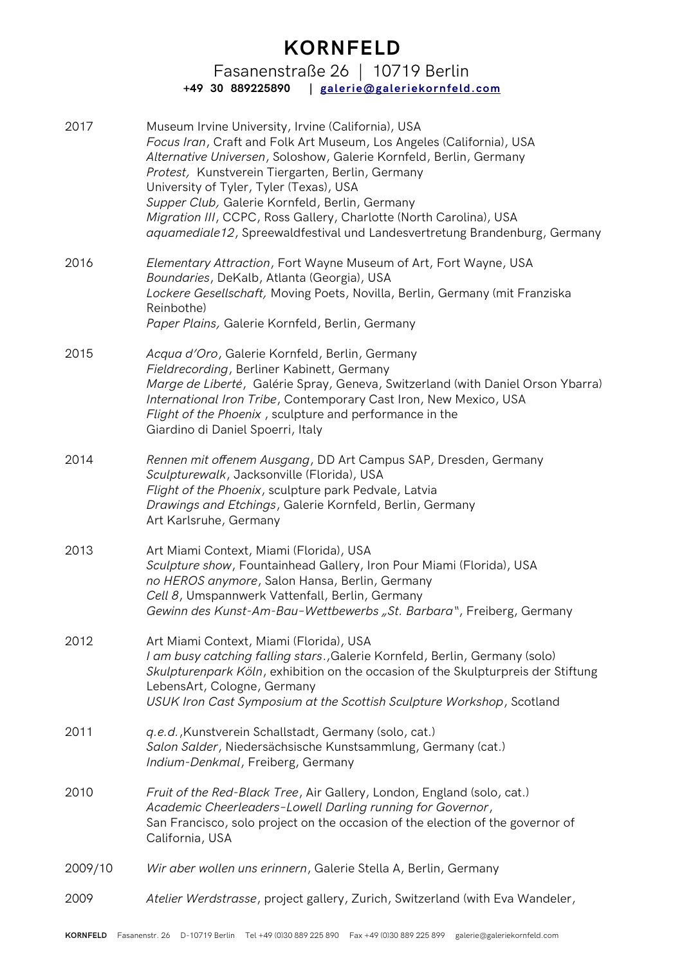Fasanenstraße 26 | 10719 Berlin **+49 30 889225890 | [galerie@galeriekornfeld.com](mailto:galerie@galeriekornfeld.com)**

| 2017    | Museum Irvine University, Irvine (California), USA<br>Focus Iran, Craft and Folk Art Museum, Los Angeles (California), USA<br>Alternative Universen, Soloshow, Galerie Kornfeld, Berlin, Germany<br>Protest, Kunstverein Tiergarten, Berlin, Germany<br>University of Tyler, Tyler (Texas), USA<br>Supper Club, Galerie Kornfeld, Berlin, Germany<br>Migration III, CCPC, Ross Gallery, Charlotte (North Carolina), USA<br>aquamediale12, Spreewaldfestival und Landesvertretung Brandenburg, Germany |
|---------|-------------------------------------------------------------------------------------------------------------------------------------------------------------------------------------------------------------------------------------------------------------------------------------------------------------------------------------------------------------------------------------------------------------------------------------------------------------------------------------------------------|
| 2016    | Elementary Attraction, Fort Wayne Museum of Art, Fort Wayne, USA<br>Boundaries, DeKalb, Atlanta (Georgia), USA<br>Lockere Gesellschaft, Moving Poets, Novilla, Berlin, Germany (mit Franziska<br>Reinbothe)<br>Paper Plains, Galerie Kornfeld, Berlin, Germany                                                                                                                                                                                                                                        |
| 2015    | Acqua d'Oro, Galerie Kornfeld, Berlin, Germany<br>Fieldrecording, Berliner Kabinett, Germany<br>Marge de Liberté, Galérie Spray, Geneva, Switzerland (with Daniel Orson Ybarra)<br>International Iron Tribe, Contemporary Cast Iron, New Mexico, USA<br>Flight of the Phoenix, sculpture and performance in the<br>Giardino di Daniel Spoerri, Italy                                                                                                                                                  |
| 2014    | Rennen mit offenem Ausgang, DD Art Campus SAP, Dresden, Germany<br>Sculpturewalk, Jacksonville (Florida), USA<br>Flight of the Phoenix, sculpture park Pedvale, Latvia<br>Drawings and Etchings, Galerie Kornfeld, Berlin, Germany<br>Art Karlsruhe, Germany                                                                                                                                                                                                                                          |
| 2013    | Art Miami Context, Miami (Florida), USA<br>Sculpture show, Fountainhead Gallery, Iron Pour Miami (Florida), USA<br>no HEROS anymore, Salon Hansa, Berlin, Germany<br>Cell 8, Umspannwerk Vattenfall, Berlin, Germany<br>Gewinn des Kunst-Am-Bau-Wettbewerbs "St. Barbara", Freiberg, Germany                                                                                                                                                                                                          |
| 2012    | Art Miami Context, Miami (Florida), USA<br>I am busy catching falling stars., Galerie Kornfeld, Berlin, Germany (solo)<br>Skulpturenpark Köln, exhibition on the occasion of the Skulpturpreis der Stiftung<br>LebensArt, Cologne, Germany<br>USUK Iron Cast Symposium at the Scottish Sculpture Workshop, Scotland                                                                                                                                                                                   |
| 2011    | g.e.d., Kunstverein Schallstadt, Germany (solo, cat.)<br>Salon Salder, Niedersächsische Kunstsammlung, Germany (cat.)<br>Indium-Denkmal, Freiberg, Germany                                                                                                                                                                                                                                                                                                                                            |
| 2010    | Fruit of the Red-Black Tree, Air Gallery, London, England (solo, cat.)<br>Academic Cheerleaders-Lowell Darling running for Governor,<br>San Francisco, solo project on the occasion of the election of the governor of<br>California, USA                                                                                                                                                                                                                                                             |
| 2009/10 | Wir aber wollen uns erinnern, Galerie Stella A, Berlin, Germany                                                                                                                                                                                                                                                                                                                                                                                                                                       |
| 2009    | Atelier Werdstrasse, project gallery, Zurich, Switzerland (with Eva Wandeler,                                                                                                                                                                                                                                                                                                                                                                                                                         |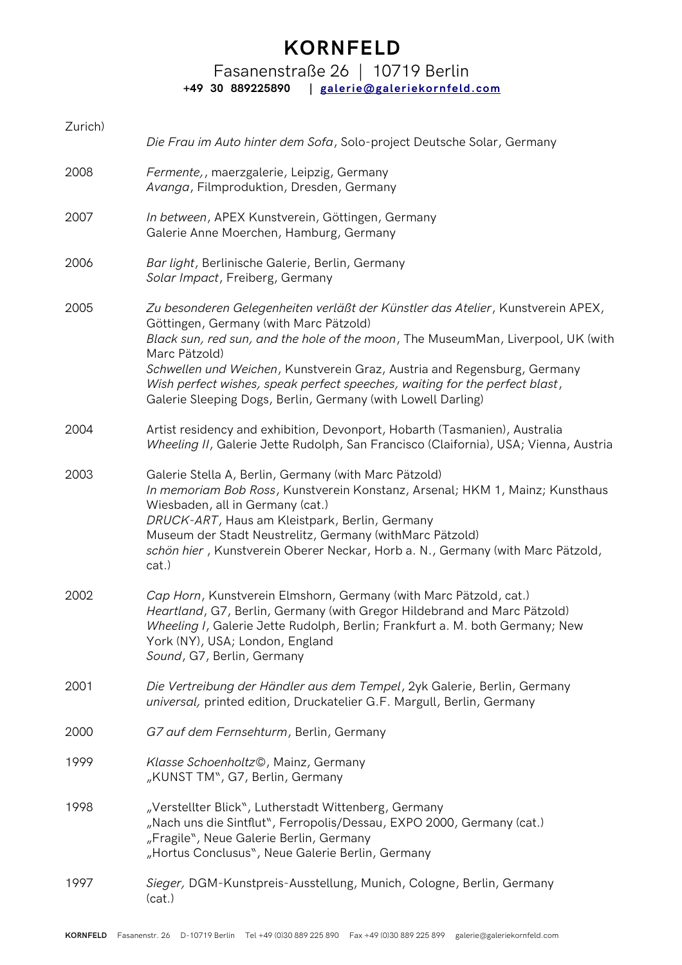### Fasanenstraße 26 | 10719 Berlin **+49 30 889225890 | [galerie@galeriekornfeld.com](mailto:galerie@galeriekornfeld.com)**

| Zurich) | Die Frau im Auto hinter dem Sofa, Solo-project Deutsche Solar, Germany                                                                                                                                                                                                                                                                                                                                                                                    |
|---------|-----------------------------------------------------------------------------------------------------------------------------------------------------------------------------------------------------------------------------------------------------------------------------------------------------------------------------------------------------------------------------------------------------------------------------------------------------------|
| 2008    | Fermente,, maerzgalerie, Leipzig, Germany<br>Avanga, Filmproduktion, Dresden, Germany                                                                                                                                                                                                                                                                                                                                                                     |
| 2007    | In between, APEX Kunstverein, Göttingen, Germany<br>Galerie Anne Moerchen, Hamburg, Germany                                                                                                                                                                                                                                                                                                                                                               |
| 2006    | Bar light, Berlinische Galerie, Berlin, Germany<br>Solar Impact, Freiberg, Germany                                                                                                                                                                                                                                                                                                                                                                        |
| 2005    | Zu besonderen Gelegenheiten verläßt der Künstler das Atelier, Kunstverein APEX,<br>Göttingen, Germany (with Marc Pätzold)<br>Black sun, red sun, and the hole of the moon, The MuseumMan, Liverpool, UK (with<br>Marc Pätzold)<br>Schwellen und Weichen, Kunstverein Graz, Austria and Regensburg, Germany<br>Wish perfect wishes, speak perfect speeches, waiting for the perfect blast,<br>Galerie Sleeping Dogs, Berlin, Germany (with Lowell Darling) |
| 2004    | Artist residency and exhibition, Devonport, Hobarth (Tasmanien), Australia<br>Wheeling II, Galerie Jette Rudolph, San Francisco (Claifornia), USA; Vienna, Austria                                                                                                                                                                                                                                                                                        |
| 2003    | Galerie Stella A, Berlin, Germany (with Marc Pätzold)<br>In memoriam Bob Ross, Kunstverein Konstanz, Arsenal; HKM 1, Mainz; Kunsthaus<br>Wiesbaden, all in Germany (cat.)<br>DRUCK-ART, Haus am Kleistpark, Berlin, Germany<br>Museum der Stadt Neustrelitz, Germany (withMarc Pätzold)<br>schön hier, Kunstverein Oberer Neckar, Horb a. N., Germany (with Marc Pätzold,<br>cat.)                                                                        |
| 2002    | Cap Horn, Kunstverein Elmshorn, Germany (with Marc Pätzold, cat.)<br>Heartland, G7, Berlin, Germany (with Gregor Hildebrand and Marc Pätzold)<br>Wheeling I, Galerie Jette Rudolph, Berlin; Frankfurt a. M. both Germany; New<br>York (NY), USA; London, England<br>Sound, G7, Berlin, Germany                                                                                                                                                            |
| 2001    | Die Vertreibung der Händler aus dem Tempel, 2yk Galerie, Berlin, Germany<br>universal, printed edition, Druckatelier G.F. Margull, Berlin, Germany                                                                                                                                                                                                                                                                                                        |
| 2000    | G7 auf dem Fernsehturm, Berlin, Germany                                                                                                                                                                                                                                                                                                                                                                                                                   |
| 1999    | Klasse Schoenholtz©, Mainz, Germany<br>"KUNST TM", G7, Berlin, Germany                                                                                                                                                                                                                                                                                                                                                                                    |
| 1998    | "Verstellter Blick", Lutherstadt Wittenberg, Germany<br>"Nach uns die Sintflut", Ferropolis/Dessau, EXPO 2000, Germany (cat.)<br>"Fragile", Neue Galerie Berlin, Germany<br>"Hortus Conclusus", Neue Galerie Berlin, Germany                                                                                                                                                                                                                              |
| 1997    | Sieger, DGM-Kunstpreis-Ausstellung, Munich, Cologne, Berlin, Germany<br>(cat.)                                                                                                                                                                                                                                                                                                                                                                            |